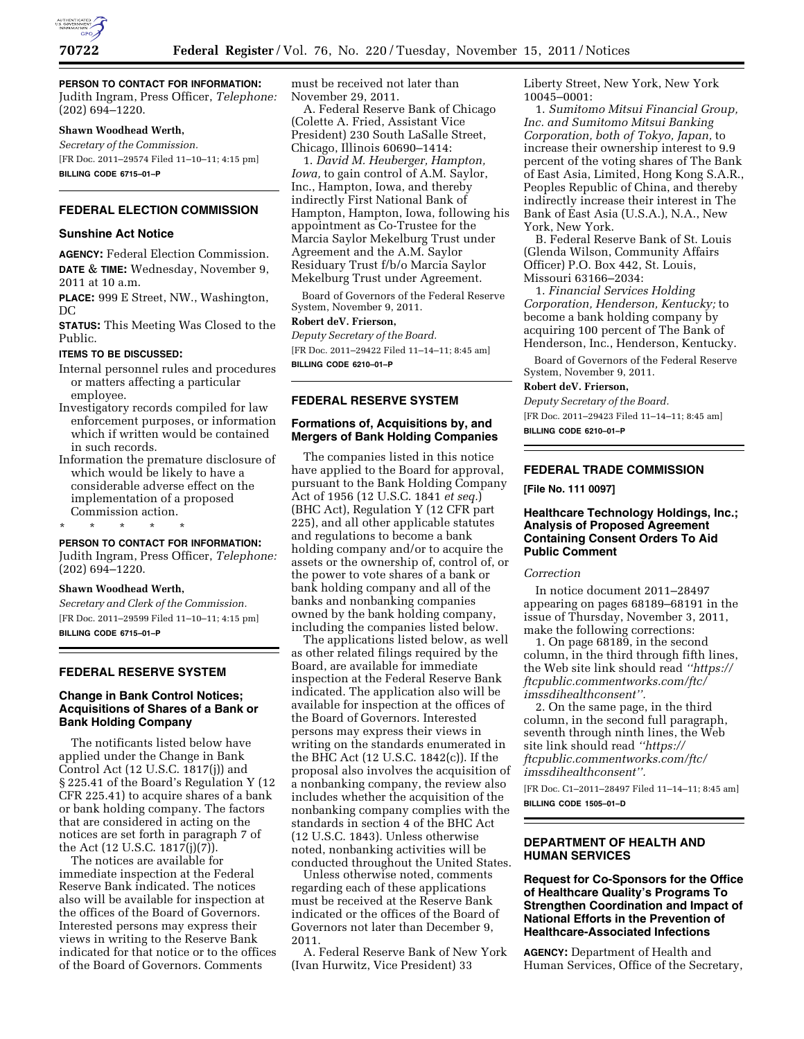

# **PERSON TO CONTACT FOR INFORMATION:**

Judith Ingram, Press Officer, *Telephone:*  (202) 694–1220.

#### **Shawn Woodhead Werth,**

*Secretary of the Commission.*  [FR Doc. 2011–29574 Filed 11–10–11; 4:15 pm] **BILLING CODE 6715–01–P** 

# **FEDERAL ELECTION COMMISSION**

#### **Sunshine Act Notice**

**AGENCY:** Federal Election Commission. **DATE** & **TIME:** Wednesday, November 9, 2011 at 10 a.m.

**PLACE:** 999 E Street, NW., Washington, DC

**STATUS:** This Meeting Was Closed to the Public.

#### **ITEMS TO BE DISCUSSED:**

Internal personnel rules and procedures or matters affecting a particular employee.

Investigatory records compiled for law enforcement purposes, or information which if written would be contained in such records.

Information the premature disclosure of which would be likely to have a considerable adverse effect on the implementation of a proposed Commission action.

\* \* \* \* \*

#### **PERSON TO CONTACT FOR INFORMATION:**

Judith Ingram, Press Officer, *Telephone:*  (202) 694–1220.

#### **Shawn Woodhead Werth,**

*Secretary and Clerk of the Commission.*  [FR Doc. 2011–29599 Filed 11–10–11; 4:15 pm] **BILLING CODE 6715–01–P** 

## **FEDERAL RESERVE SYSTEM**

#### **Change in Bank Control Notices; Acquisitions of Shares of a Bank or Bank Holding Company**

The notificants listed below have applied under the Change in Bank Control Act (12 U.S.C. 1817(j)) and § 225.41 of the Board's Regulation Y (12 CFR 225.41) to acquire shares of a bank or bank holding company. The factors that are considered in acting on the notices are set forth in paragraph 7 of the Act (12 U.S.C. 1817(j)(7)).

The notices are available for immediate inspection at the Federal Reserve Bank indicated. The notices also will be available for inspection at the offices of the Board of Governors. Interested persons may express their views in writing to the Reserve Bank indicated for that notice or to the offices of the Board of Governors. Comments

must be received not later than November 29, 2011.

A. Federal Reserve Bank of Chicago (Colette A. Fried, Assistant Vice President) 230 South LaSalle Street, Chicago, Illinois 60690–1414:

1. *David M. Heuberger, Hampton, Iowa,* to gain control of A.M. Saylor, Inc., Hampton, Iowa, and thereby indirectly First National Bank of Hampton, Hampton, Iowa, following his appointment as Co-Trustee for the Marcia Saylor Mekelburg Trust under Agreement and the A.M. Saylor Residuary Trust f/b/o Marcia Saylor Mekelburg Trust under Agreement.

Board of Governors of the Federal Reserve System, November 9, 2011.

#### **Robert deV. Frierson,**

*Deputy Secretary of the Board.*  [FR Doc. 2011–29422 Filed 11–14–11; 8:45 am]

**BILLING CODE 6210–01–P** 

#### **FEDERAL RESERVE SYSTEM**

## **Formations of, Acquisitions by, and Mergers of Bank Holding Companies**

The companies listed in this notice have applied to the Board for approval, pursuant to the Bank Holding Company Act of 1956 (12 U.S.C. 1841 *et seq.*) (BHC Act), Regulation Y (12 CFR part 225), and all other applicable statutes and regulations to become a bank holding company and/or to acquire the assets or the ownership of, control of, or the power to vote shares of a bank or bank holding company and all of the banks and nonbanking companies owned by the bank holding company, including the companies listed below.

The applications listed below, as well as other related filings required by the Board, are available for immediate inspection at the Federal Reserve Bank indicated. The application also will be available for inspection at the offices of the Board of Governors. Interested persons may express their views in writing on the standards enumerated in the BHC Act (12 U.S.C. 1842(c)). If the proposal also involves the acquisition of a nonbanking company, the review also includes whether the acquisition of the nonbanking company complies with the standards in section 4 of the BHC Act (12 U.S.C. 1843). Unless otherwise noted, nonbanking activities will be conducted throughout the United States.

Unless otherwise noted, comments regarding each of these applications must be received at the Reserve Bank indicated or the offices of the Board of Governors not later than December 9, 2011.

A. Federal Reserve Bank of New York (Ivan Hurwitz, Vice President) 33

Liberty Street, New York, New York 10045–0001:

1. *Sumitomo Mitsui Financial Group, Inc. and Sumitomo Mitsui Banking Corporation, both of Tokyo, Japan,* to increase their ownership interest to 9.9 percent of the voting shares of The Bank of East Asia, Limited, Hong Kong S.A.R., Peoples Republic of China, and thereby indirectly increase their interest in The Bank of East Asia (U.S.A.), N.A., New York, New York.

B. Federal Reserve Bank of St. Louis (Glenda Wilson, Community Affairs Officer) P.O. Box 442, St. Louis, Missouri 63166–2034:

1. *Financial Services Holding Corporation, Henderson, Kentucky;* to become a bank holding company by acquiring 100 percent of The Bank of Henderson, Inc., Henderson, Kentucky.

Board of Governors of the Federal Reserve System, November 9, 2011.

# **Robert deV. Frierson,**

*Deputy Secretary of the Board.*  [FR Doc. 2011–29423 Filed 11–14–11; 8:45 am] **BILLING CODE 6210–01–P** 

# **FEDERAL TRADE COMMISSION**

**[File No. 111 0097]** 

## **Healthcare Technology Holdings, Inc.; Analysis of Proposed Agreement Containing Consent Orders To Aid Public Comment**

#### *Correction*

In notice document 2011–28497 appearing on pages 68189–68191 in the issue of Thursday, November 3, 2011, make the following corrections:

1. On page 68189, in the second column, in the third through fifth lines, the Web site link should read *''[https://](https://ftcpublic.commentworks.com/ftc/imssdihealthconsent) [ftcpublic.commentworks.com/ftc/](https://ftcpublic.commentworks.com/ftc/imssdihealthconsent)  [imssdihealthconsent''.](https://ftcpublic.commentworks.com/ftc/imssdihealthconsent)* 

2. On the same page, in the third column, in the second full paragraph, seventh through ninth lines, the Web site link should read *'['https://](https://ftcpublic.commentworks.com/ftc/imssdihealthconsent)  [ftcpublic.commentworks.com/ftc/](https://ftcpublic.commentworks.com/ftc/imssdihealthconsent)  [imssdihealthconsent''.](https://ftcpublic.commentworks.com/ftc/imssdihealthconsent)* 

[FR Doc. C1–2011–28497 Filed 11–14–11; 8:45 am] **BILLING CODE 1505–01–D** 

# **DEPARTMENT OF HEALTH AND HUMAN SERVICES**

# **Request for Co-Sponsors for the Office of Healthcare Quality's Programs To Strengthen Coordination and Impact of National Efforts in the Prevention of Healthcare-Associated Infections**

**AGENCY:** Department of Health and Human Services, Office of the Secretary,